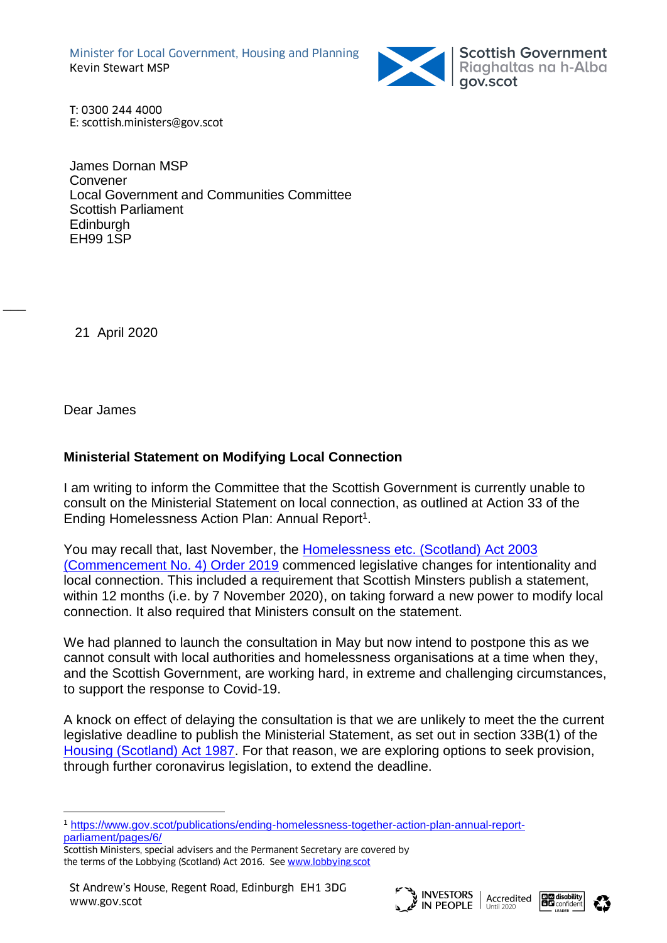Minister for Local Government, Housing and Planning Kevin Stewart MSP



Scottish Government<br>Riaghaltas na h-Alba<br>gov.scot

T: 0300 244 4000 E: scottish.ministers@gov.scot

James Dornan MSP Convener Local Government and Communities Committee Scottish Parliament Edinburgh EH99 1SP

21 April 2020

 $\overline{\phantom{a}}$ 

Dear James

## **Ministerial Statement on Modifying Local Connection**

I am writing to inform the Committee that the Scottish Government is currently unable to consult on the Ministerial Statement on local connection, as outlined at Action 33 of the Ending Homelessness Action Plan: Annual Report<sup>1</sup>.

You may recall that, last November, the [Homelessness etc. \(Scotland\) Act 2003](https://www.legislation.gov.uk/ssi/2019/316/contents/made)  [\(Commencement No. 4\) Order 2019](https://www.legislation.gov.uk/ssi/2019/316/contents/made) commenced legislative changes for intentionality and local connection. This included a requirement that Scottish Minsters publish a statement, within 12 months (i.e. by 7 November 2020), on taking forward a new power to modify local connection. It also required that Ministers consult on the statement.

We had planned to launch the consultation in May but now intend to postpone this as we cannot consult with local authorities and homelessness organisations at a time when they, and the Scottish Government, are working hard, in extreme and challenging circumstances, to support the response to Covid-19.

A knock on effect of delaying the consultation is that we are unlikely to meet the the current legislative deadline to publish the Ministerial Statement, as set out in section 33B(1) of the [Housing \(Scotland\) Act 1987.](http://www.legislation.gov.uk/ukpga/1987/26/contents) For that reason, we are exploring options to seek provision, through further coronavirus legislation, to extend the deadline.







<sup>1</sup> [https://www.gov.scot/publications/ending-homelessness-together-action-plan-annual-report](https://www.gov.scot/publications/ending-homelessness-together-action-plan-annual-report-parliament/pages/6/)[parliament/pages/6/](https://www.gov.scot/publications/ending-homelessness-together-action-plan-annual-report-parliament/pages/6/)

Scottish Ministers, special advisers and the Permanent Secretary are covered by the terms of the Lobbying (Scotland) Act 2016. See [www.lobbying.scot](http://www.lobbying.scot/)